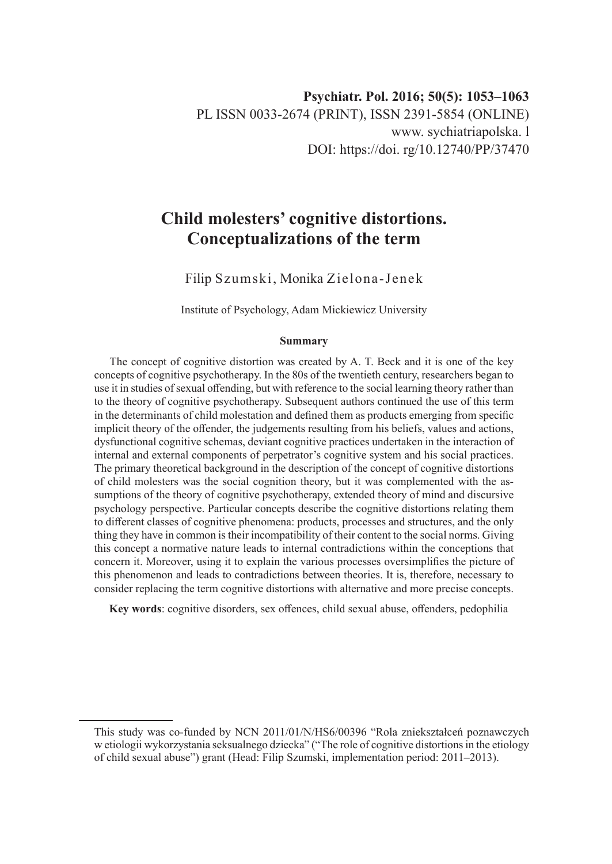# **Child molesters' cognitive distortions. Conceptualizations of the term**

Filip Szumski, Monika Zielona-Jenek

Institute of Psychology, Adam Mickiewicz University

#### **Summary**

The concept of cognitive distortion was created by A. T. Beck and it is one of the key concepts of cognitive psychotherapy. In the 80s of the twentieth century, researchers began to use it in studies of sexual offending, but with reference to the social learning theory rather than to the theory of cognitive psychotherapy. Subsequent authors continued the use of this term in the determinants of child molestation and defined them as products emerging from specific implicit theory of the offender, the judgements resulting from his beliefs, values and actions, dysfunctional cognitive schemas, deviant cognitive practices undertaken in the interaction of internal and external components of perpetrator's cognitive system and his social practices. The primary theoretical background in the description of the concept of cognitive distortions of child molesters was the social cognition theory, but it was complemented with the assumptions of the theory of cognitive psychotherapy, extended theory of mind and discursive psychology perspective. Particular concepts describe the cognitive distortions relating them to different classes of cognitive phenomena: products, processes and structures, and the only thing they have in common is their incompatibility of their content to the social norms. Giving this concept a normative nature leads to internal contradictions within the conceptions that concern it. Moreover, using it to explain the various processes oversimplifies the picture of this phenomenon and leads to contradictions between theories. It is, therefore, necessary to consider replacing the term cognitive distortions with alternative and more precise concepts.

**Key words**: cognitive disorders, sex offences, child sexual abuse, offenders, pedophilia

This study was co-funded by NCN 2011/01/N/HS6/00396 "Rola zniekształceń poznawczych w etiologii wykorzystania seksualnego dziecka" ("The role of cognitive distortions in the etiology of child sexual abuse") grant (Head: Filip Szumski, implementation period: 2011–2013).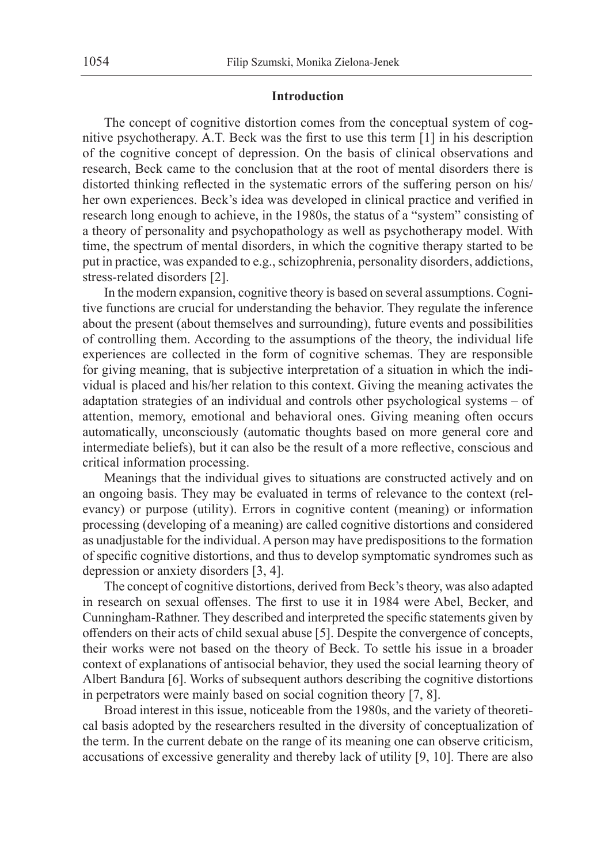## **Introduction**

The concept of cognitive distortion comes from the conceptual system of cognitive psychotherapy. A.T. Beck was the first to use this term [1] in his description of the cognitive concept of depression. On the basis of clinical observations and research, Beck came to the conclusion that at the root of mental disorders there is distorted thinking reflected in the systematic errors of the suffering person on his/ her own experiences. Beck's idea was developed in clinical practice and verified in research long enough to achieve, in the 1980s, the status of a "system" consisting of a theory of personality and psychopathology as well as psychotherapy model. With time, the spectrum of mental disorders, in which the cognitive therapy started to be put in practice, was expanded to e.g., schizophrenia, personality disorders, addictions, stress-related disorders [2].

In the modern expansion, cognitive theory is based on several assumptions. Cognitive functions are crucial for understanding the behavior. They regulate the inference about the present (about themselves and surrounding), future events and possibilities of controlling them. According to the assumptions of the theory, the individual life experiences are collected in the form of cognitive schemas. They are responsible for giving meaning, that is subjective interpretation of a situation in which the individual is placed and his/her relation to this context. Giving the meaning activates the adaptation strategies of an individual and controls other psychological systems – of attention, memory, emotional and behavioral ones. Giving meaning often occurs automatically, unconsciously (automatic thoughts based on more general core and intermediate beliefs), but it can also be the result of a more reflective, conscious and critical information processing.

Meanings that the individual gives to situations are constructed actively and on an ongoing basis. They may be evaluated in terms of relevance to the context (relevancy) or purpose (utility). Errors in cognitive content (meaning) or information processing (developing of a meaning) are called cognitive distortions and considered as unadjustable for the individual. A person may have predispositions to the formation of specific cognitive distortions, and thus to develop symptomatic syndromes such as depression or anxiety disorders [3, 4].

The concept of cognitive distortions, derived from Beck's theory, was also adapted in research on sexual offenses. The first to use it in 1984 were Abel, Becker, and Cunningham-Rathner. They described and interpreted the specific statements given by offenders on their acts of child sexual abuse [5]. Despite the convergence of concepts, their works were not based on the theory of Beck. To settle his issue in a broader context of explanations of antisocial behavior, they used the social learning theory of Albert Bandura [6]. Works of subsequent authors describing the cognitive distortions in perpetrators were mainly based on social cognition theory [7, 8].

Broad interest in this issue, noticeable from the 1980s, and the variety of theoretical basis adopted by the researchers resulted in the diversity of conceptualization of the term. In the current debate on the range of its meaning one can observe criticism, accusations of excessive generality and thereby lack of utility [9, 10]. There are also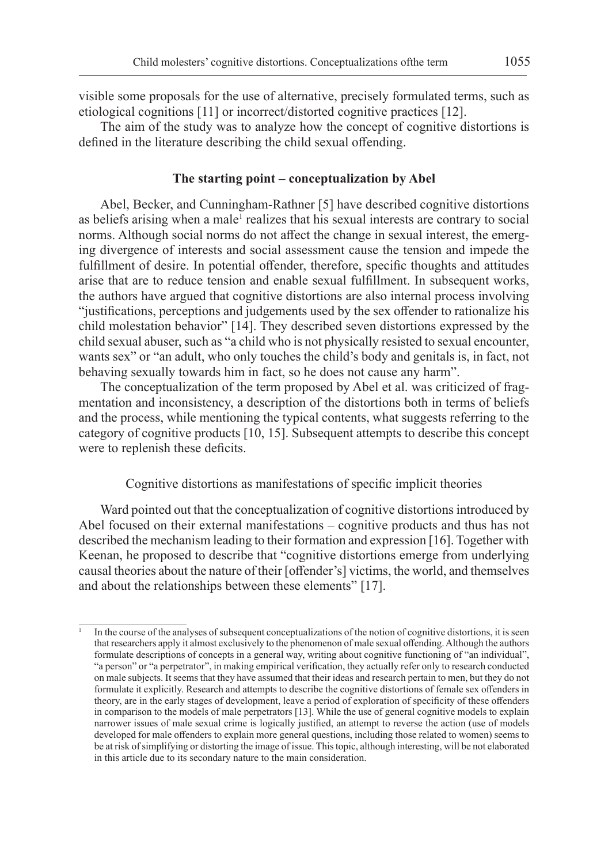visible some proposals for the use of alternative, precisely formulated terms, such as etiological cognitions [11] or incorrect/distorted cognitive practices [12].

The aim of the study was to analyze how the concept of cognitive distortions is defined in the literature describing the child sexual offending.

## **The starting point – conceptualization by Abel**

Abel, Becker, and Cunningham-Rathner [5] have described cognitive distortions as beliefs arising when a male<sup>1</sup> realizes that his sexual interests are contrary to social norms. Although social norms do not affect the change in sexual interest, the emerging divergence of interests and social assessment cause the tension and impede the fulfillment of desire. In potential offender, therefore, specific thoughts and attitudes arise that are to reduce tension and enable sexual fulfillment. In subsequent works, the authors have argued that cognitive distortions are also internal process involving "justifications, perceptions and judgements used by the sex offender to rationalize his child molestation behavior" [14]. They described seven distortions expressed by the child sexual abuser, such as "a child who is not physically resisted to sexual encounter, wants sex" or "an adult, who only touches the child's body and genitals is, in fact, not behaving sexually towards him in fact, so he does not cause any harm".

The conceptualization of the term proposed by Abel et al. was criticized of fragmentation and inconsistency, a description of the distortions both in terms of beliefs and the process, while mentioning the typical contents, what suggests referring to the category of cognitive products [10, 15]. Subsequent attempts to describe this concept were to replenish these deficits.

Cognitive distortions as manifestations of specific implicit theories

Ward pointed out that the conceptualization of cognitive distortions introduced by Abel focused on their external manifestations – cognitive products and thus has not described the mechanism leading to their formation and expression [16]. Together with Keenan, he proposed to describe that "cognitive distortions emerge from underlying causal theories about the nature of their [offender's] victims, the world, and themselves and about the relationships between these elements" [17].

In the course of the analyses of subsequent conceptualizations of the notion of cognitive distortions, it is seen that researchers apply it almost exclusively to the phenomenon of male sexual offending. Although the authors formulate descriptions of concepts in a general way, writing about cognitive functioning of "an individual", "a person" or "a perpetrator", in making empirical verification, they actually refer only to research conducted on male subjects. It seems that they have assumed that their ideas and research pertain to men, but they do not formulate it explicitly. Research and attempts to describe the cognitive distortions of female sex offenders in theory, are in the early stages of development, leave a period of exploration of specificity of these offenders in comparison to the models of male perpetrators [13]. While the use of general cognitive models to explain narrower issues of male sexual crime is logically justified, an attempt to reverse the action (use of models developed for male offenders to explain more general questions, including those related to women) seems to be at risk of simplifying or distorting the image of issue. This topic, although interesting, will be not elaborated in this article due to its secondary nature to the main consideration.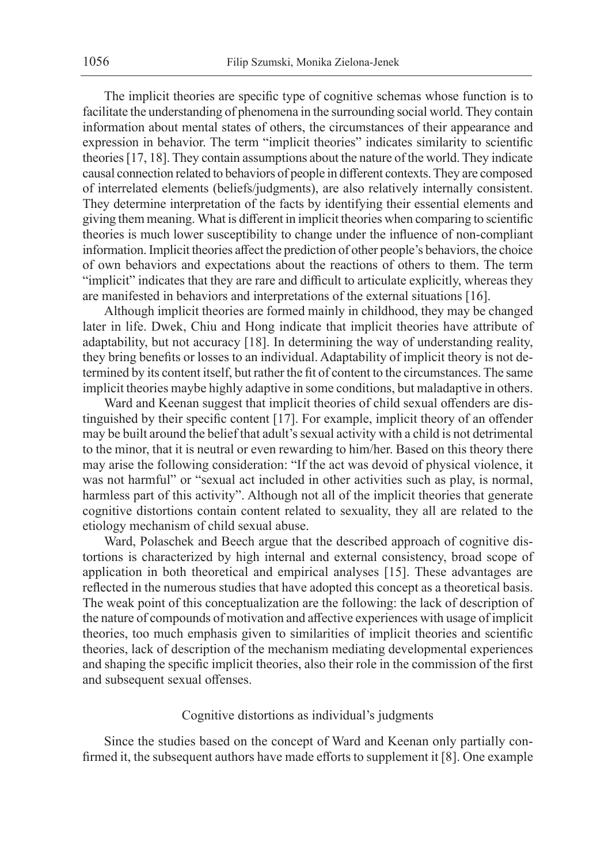The implicit theories are specific type of cognitive schemas whose function is to facilitate the understanding of phenomena in the surrounding social world. They contain information about mental states of others, the circumstances of their appearance and expression in behavior. The term "implicit theories" indicates similarity to scientific theories [17, 18]. They contain assumptions about the nature of the world. They indicate causal connection related to behaviors of people in different contexts. They are composed of interrelated elements (beliefs/judgments), are also relatively internally consistent. They determine interpretation of the facts by identifying their essential elements and giving them meaning. What is different in implicit theories when comparing to scientific theories is much lower susceptibility to change under the influence of non-compliant information. Implicit theories affect the prediction of other people's behaviors, the choice of own behaviors and expectations about the reactions of others to them. The term "implicit" indicates that they are rare and difficult to articulate explicitly, whereas they are manifested in behaviors and interpretations of the external situations [16].

Although implicit theories are formed mainly in childhood, they may be changed later in life. Dwek, Chiu and Hong indicate that implicit theories have attribute of adaptability, but not accuracy [18]. In determining the way of understanding reality, they bring benefits or losses to an individual. Adaptability of implicit theory is not determined by its content itself, but rather the fit of content to the circumstances. The same implicit theories maybe highly adaptive in some conditions, but maladaptive in others.

Ward and Keenan suggest that implicit theories of child sexual offenders are distinguished by their specific content [17]. For example, implicit theory of an offender may be built around the belief that adult's sexual activity with a child is not detrimental to the minor, that it is neutral or even rewarding to him/her. Based on this theory there may arise the following consideration: "If the act was devoid of physical violence, it was not harmful" or "sexual act included in other activities such as play, is normal, harmless part of this activity". Although not all of the implicit theories that generate cognitive distortions contain content related to sexuality, they all are related to the etiology mechanism of child sexual abuse.

Ward, Polaschek and Beech argue that the described approach of cognitive distortions is characterized by high internal and external consistency, broad scope of application in both theoretical and empirical analyses [15]. These advantages are reflected in the numerous studies that have adopted this concept as a theoretical basis. The weak point of this conceptualization are the following: the lack of description of the nature of compounds of motivation and affective experiences with usage of implicit theories, too much emphasis given to similarities of implicit theories and scientific theories, lack of description of the mechanism mediating developmental experiences and shaping the specific implicit theories, also their role in the commission of the first and subsequent sexual offenses.

## Cognitive distortions as individual's judgments

Since the studies based on the concept of Ward and Keenan only partially confirmed it, the subsequent authors have made efforts to supplement it [8]. One example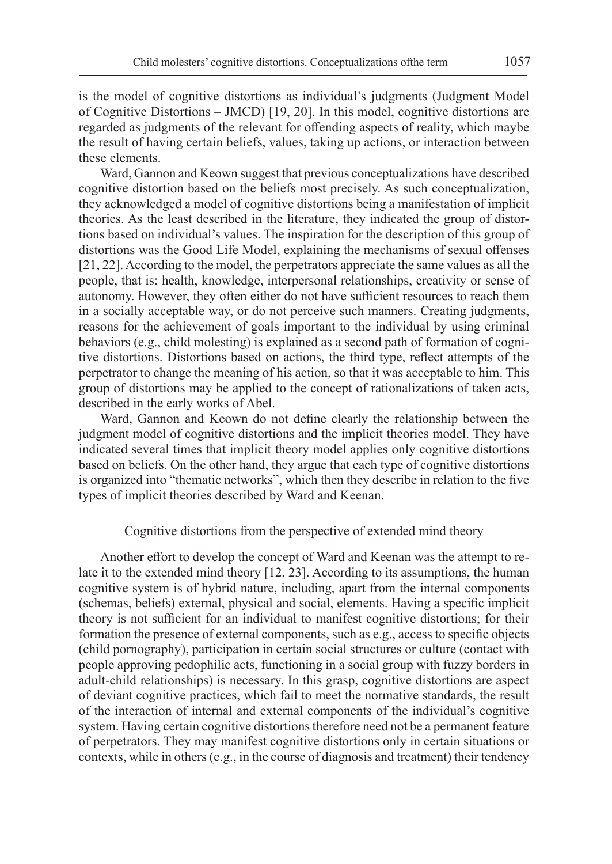is the model of cognitive distortions as individual's judgments (Judgment Model of Cognitive Distortions – JMCD) [19, 20]. In this model, cognitive distortions are regarded as judgments of the relevant for offending aspects of reality, which maybe the result of having certain beliefs, values, taking up actions, or interaction between these elements.

Ward, Gannon and Keown suggest that previous conceptualizations have described cognitive distortion based on the beliefs most precisely. As such conceptualization, they acknowledged a model of cognitive distortions being a manifestation of implicit theories. As the least described in the literature, they indicated the group of distortions based on individual's values. The inspiration for the description of this group of distortions was the Good Life Model, explaining the mechanisms of sexual offenses [21, 22]. According to the model, the perpetrators appreciate the same values as all the people, that is: health, knowledge, interpersonal relationships, creativity or sense of autonomy. However, they often either do not have sufficient resources to reach them in a socially acceptable way, or do not perceive such manners. Creating judgments, reasons for the achievement of goals important to the individual by using criminal behaviors (e.g., child molesting) is explained as a second path of formation of cognitive distortions. Distortions based on actions, the third type, reflect attempts of the perpetrator to change the meaning of his action, so that it was acceptable to him. This group of distortions may be applied to the concept of rationalizations of taken acts, described in the early works of Abel.

Ward, Gannon and Keown do not define clearly the relationship between the judgment model of cognitive distortions and the implicit theories model. They have indicated several times that implicit theory model applies only cognitive distortions based on beliefs. On the other hand, they argue that each type of cognitive distortions is organized into "thematic networks", which then they describe in relation to the five types of implicit theories described by Ward and Keenan.

#### Cognitive distortions from the perspective of extended mind theory

Another effort to develop the concept of Ward and Keenan was the attempt to relate it to the extended mind theory [12, 23]. According to its assumptions, the human cognitive system is of hybrid nature, including, apart from the internal components (schemas, beliefs) external, physical and social, elements. Having a specific implicit theory is not sufficient for an individual to manifest cognitive distortions; for their formation the presence of external components, such as e.g., access to specific objects (child pornography), participation in certain social structures or culture (contact with people approving pedophilic acts, functioning in a social group with fuzzy borders in adult-child relationships) is necessary. In this grasp, cognitive distortions are aspect of deviant cognitive practices, which fail to meet the normative standards, the result of the interaction of internal and external components of the individual's cognitive system. Having certain cognitive distortions therefore need not be a permanent feature of perpetrators. They may manifest cognitive distortions only in certain situations or contexts, while in others (e.g., in the course of diagnosis and treatment) their tendency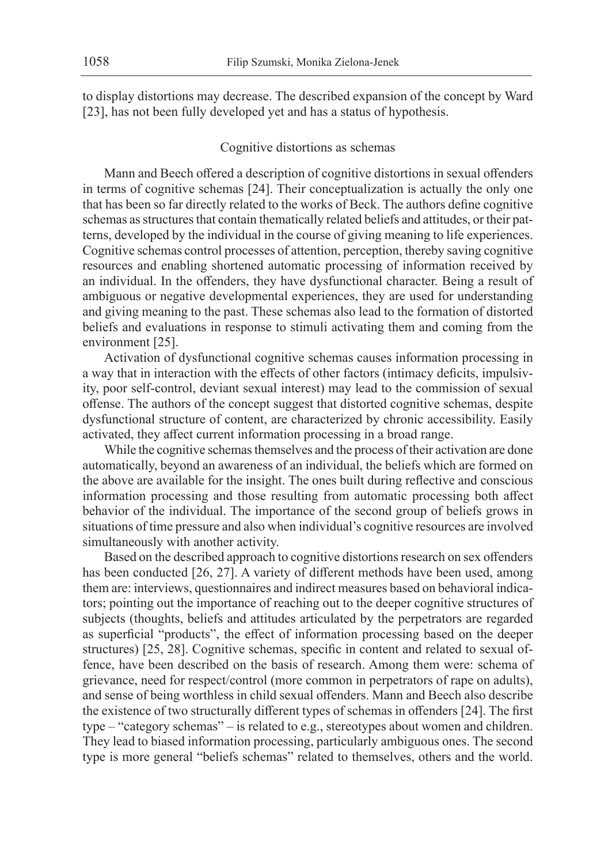to display distortions may decrease. The described expansion of the concept by Ward [23], has not been fully developed yet and has a status of hypothesis.

# Cognitive distortions as schemas

Mann and Beech offered a description of cognitive distortions in sexual offenders in terms of cognitive schemas [24]. Their conceptualization is actually the only one that has been so far directly related to the works of Beck. The authors define cognitive schemas as structures that contain thematically related beliefs and attitudes, or their patterns, developed by the individual in the course of giving meaning to life experiences. Cognitive schemas control processes of attention, perception, thereby saving cognitive resources and enabling shortened automatic processing of information received by an individual. In the offenders, they have dysfunctional character. Being a result of ambiguous or negative developmental experiences, they are used for understanding and giving meaning to the past. These schemas also lead to the formation of distorted beliefs and evaluations in response to stimuli activating them and coming from the environment [25].

Activation of dysfunctional cognitive schemas causes information processing in a way that in interaction with the effects of other factors (intimacy deficits, impulsivity, poor self-control, deviant sexual interest) may lead to the commission of sexual offense. The authors of the concept suggest that distorted cognitive schemas, despite dysfunctional structure of content, are characterized by chronic accessibility. Easily activated, they affect current information processing in a broad range.

While the cognitive schemas themselves and the process of their activation are done automatically, beyond an awareness of an individual, the beliefs which are formed on the above are available for the insight. The ones built during reflective and conscious information processing and those resulting from automatic processing both affect behavior of the individual. The importance of the second group of beliefs grows in situations of time pressure and also when individual's cognitive resources are involved simultaneously with another activity.

Based on the described approach to cognitive distortions research on sex offenders has been conducted [26, 27]. A variety of different methods have been used, among them are: interviews, questionnaires and indirect measures based on behavioral indicators; pointing out the importance of reaching out to the deeper cognitive structures of subjects (thoughts, beliefs and attitudes articulated by the perpetrators are regarded as superficial "products", the effect of information processing based on the deeper structures) [25, 28]. Cognitive schemas, specific in content and related to sexual offence, have been described on the basis of research. Among them were: schema of grievance, need for respect/control (more common in perpetrators of rape on adults), and sense of being worthless in child sexual offenders. Mann and Beech also describe the existence of two structurally different types of schemas in offenders [24]. The first type – "category schemas" – is related to e.g., stereotypes about women and children. They lead to biased information processing, particularly ambiguous ones. The second type is more general "beliefs schemas" related to themselves, others and the world.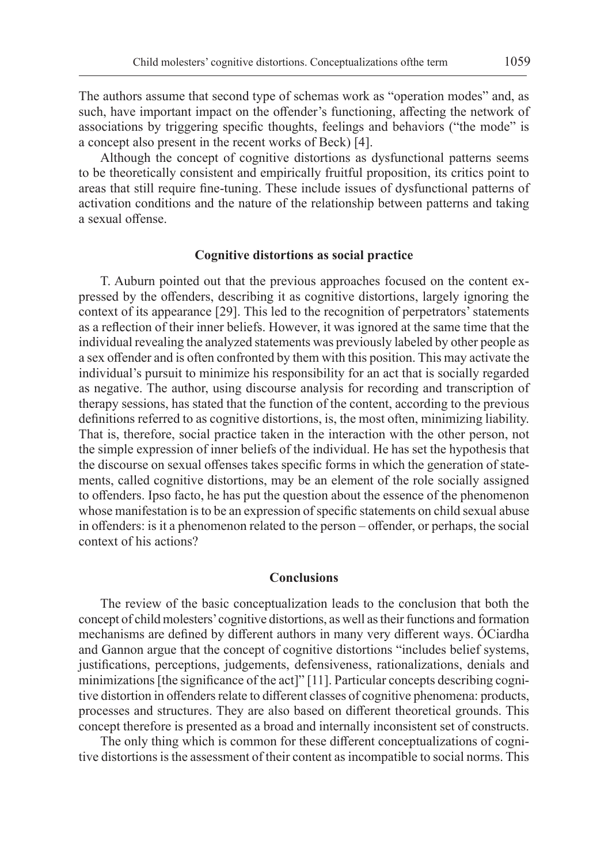The authors assume that second type of schemas work as "operation modes" and, as such, have important impact on the offender's functioning, affecting the network of associations by triggering specific thoughts, feelings and behaviors ("the mode" is a concept also present in the recent works of Beck) [4].

Although the concept of cognitive distortions as dysfunctional patterns seems to be theoretically consistent and empirically fruitful proposition, its critics point to areas that still require fine-tuning. These include issues of dysfunctional patterns of activation conditions and the nature of the relationship between patterns and taking a sexual offense.

#### **Cognitive distortions as social practice**

T. Auburn pointed out that the previous approaches focused on the content expressed by the offenders, describing it as cognitive distortions, largely ignoring the context of its appearance [29]. This led to the recognition of perpetrators' statements as a reflection of their inner beliefs. However, it was ignored at the same time that the individual revealing the analyzed statements was previously labeled by other people as a sex offender and is often confronted by them with this position. This may activate the individual's pursuit to minimize his responsibility for an act that is socially regarded as negative. The author, using discourse analysis for recording and transcription of therapy sessions, has stated that the function of the content, according to the previous definitions referred to as cognitive distortions, is, the most often, minimizing liability. That is, therefore, social practice taken in the interaction with the other person, not the simple expression of inner beliefs of the individual. He has set the hypothesis that the discourse on sexual offenses takes specific forms in which the generation of statements, called cognitive distortions, may be an element of the role socially assigned to offenders. Ipso facto, he has put the question about the essence of the phenomenon whose manifestation is to be an expression of specific statements on child sexual abuse in offenders: is it a phenomenon related to the person – offender, or perhaps, the social context of his actions?

## **Conclusions**

The review of the basic conceptualization leads to the conclusion that both the concept of child molesters' cognitive distortions, as well as their functions and formation mechanisms are defined by different authors in many very different ways. ÓCiardha and Gannon argue that the concept of cognitive distortions "includes belief systems, justifications, perceptions, judgements, defensiveness, rationalizations, denials and minimizations [the significance of the act]" [11]. Particular concepts describing cognitive distortion in offenders relate to different classes of cognitive phenomena: products, processes and structures. They are also based on different theoretical grounds. This concept therefore is presented as a broad and internally inconsistent set of constructs.

The only thing which is common for these different conceptualizations of cognitive distortions is the assessment of their content as incompatible to social norms. This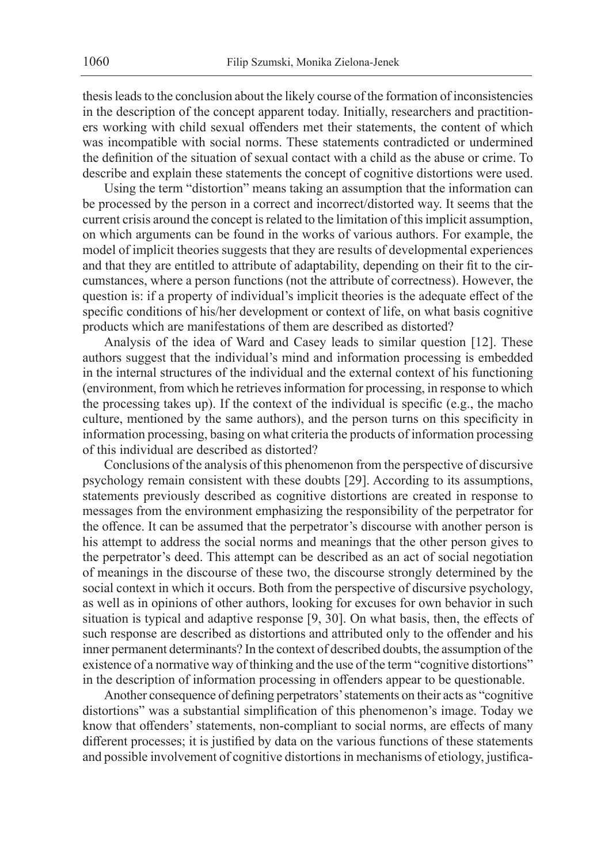thesis leads to the conclusion about the likely course of the formation of inconsistencies in the description of the concept apparent today. Initially, researchers and practitioners working with child sexual offenders met their statements, the content of which was incompatible with social norms. These statements contradicted or undermined the definition of the situation of sexual contact with a child as the abuse or crime. To describe and explain these statements the concept of cognitive distortions were used.

Using the term "distortion" means taking an assumption that the information can be processed by the person in a correct and incorrect/distorted way. It seems that the current crisis around the concept is related to the limitation of this implicit assumption, on which arguments can be found in the works of various authors. For example, the model of implicit theories suggests that they are results of developmental experiences and that they are entitled to attribute of adaptability, depending on their fit to the circumstances, where a person functions (not the attribute of correctness). However, the question is: if a property of individual's implicit theories is the adequate effect of the specific conditions of his/her development or context of life, on what basis cognitive products which are manifestations of them are described as distorted?

Analysis of the idea of Ward and Casey leads to similar question [12]. These authors suggest that the individual's mind and information processing is embedded in the internal structures of the individual and the external context of his functioning (environment, from which he retrieves information for processing, in response to which the processing takes up). If the context of the individual is specific (e.g., the macho culture, mentioned by the same authors), and the person turns on this specificity in information processing, basing on what criteria the products of information processing of this individual are described as distorted?

Conclusions of the analysis of this phenomenon from the perspective of discursive psychology remain consistent with these doubts [29]. According to its assumptions, statements previously described as cognitive distortions are created in response to messages from the environment emphasizing the responsibility of the perpetrator for the offence. It can be assumed that the perpetrator's discourse with another person is his attempt to address the social norms and meanings that the other person gives to the perpetrator's deed. This attempt can be described as an act of social negotiation of meanings in the discourse of these two, the discourse strongly determined by the social context in which it occurs. Both from the perspective of discursive psychology, as well as in opinions of other authors, looking for excuses for own behavior in such situation is typical and adaptive response [9, 30]. On what basis, then, the effects of such response are described as distortions and attributed only to the offender and his inner permanent determinants? In the context of described doubts, the assumption of the existence of a normative way of thinking and the use of the term "cognitive distortions" in the description of information processing in offenders appear to be questionable.

Another consequence of defining perpetrators' statements on their acts as "cognitive distortions" was a substantial simplification of this phenomenon's image. Today we know that offenders' statements, non-compliant to social norms, are effects of many different processes; it is justified by data on the various functions of these statements and possible involvement of cognitive distortions in mechanisms of etiology, justifica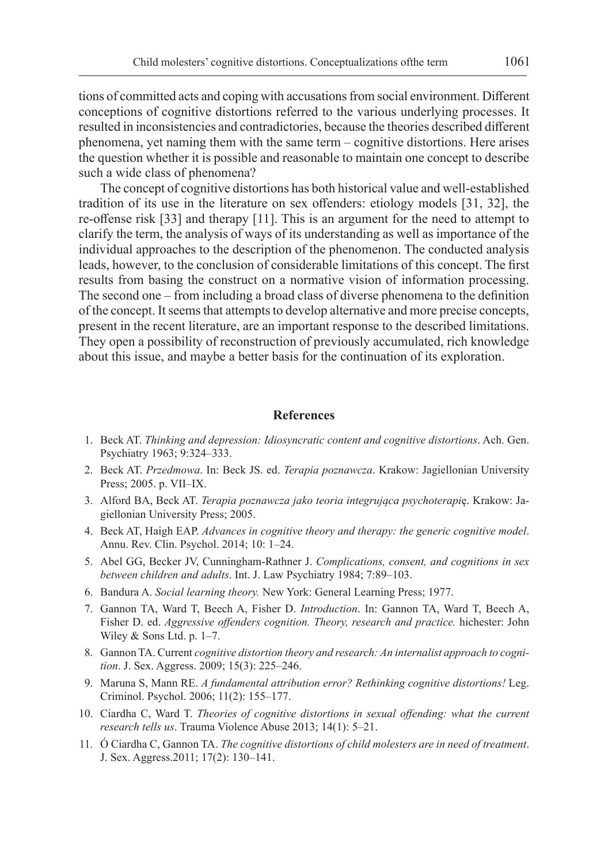tions of committed acts and coping with accusations from social environment. Different conceptions of cognitive distortions referred to the various underlying processes. It resulted in inconsistencies and contradictories, because the theories described different phenomena, yet naming them with the same term – cognitive distortions. Here arises the question whether it is possible and reasonable to maintain one concept to describe such a wide class of phenomena?

The concept of cognitive distortions has both historical value and well-established tradition of its use in the literature on sex offenders: etiology models [31, 32], the re-offense risk [33] and therapy [11]. This is an argument for the need to attempt to clarify the term, the analysis of ways of its understanding as well as importance of the individual approaches to the description of the phenomenon. The conducted analysis leads, however, to the conclusion of considerable limitations of this concept. The first results from basing the construct on a normative vision of information processing. The second one – from including a broad class of diverse phenomena to the definition of the concept. It seems that attempts to develop alternative and more precise concepts, present in the recent literature, are an important response to the described limitations. They open a possibility of reconstruction of previously accumulated, rich knowledge about this issue, and maybe a better basis for the continuation of its exploration.

#### **References**

- 1. Beck AT. *Thinking and depression: Idiosyncratic content and cognitive distortions*. Ach. Gen. Psychiatry 1963; 9:324–333.
- 2. Beck AT. *Przedmowa*. In: Beck JS. ed. *Terapia poznawcza*. Krakow: Jagiellonian University Press; 2005. p. VII–IX.
- 3. Alford BA, Beck AT. *Terapia poznawcza jako teoria integrująca psychoterapi*ę. Krakow: Jagiellonian University Press; 2005.
- 4. Beck AT, Haigh EAP. *Advances in cognitive theory and therapy: the generic cognitive model*. Annu. Rev. Clin. Psychol. 2014; 10: 1–24.
- 5. Abel GG, Becker JV, Cunningham-Rathner J. *Complications, consent, and cognitions in sex between children and adults*. Int. J. Law Psychiatry 1984; 7:89–103.
- 6. Bandura A. *Social learning theory.* New York: General Learning Press; 1977.
- 7. Gannon TA, Ward T, Beech A, Fisher D. *Introduction*. In: Gannon TA, Ward T, Beech A, Fisher D. ed. *Aggressive offenders cognition. Theory, research and practice.* hichester: John Wiley & Sons Ltd. p. 1–7.
- 8. Gannon TA. Current *cognitive distortion theory and research: An internalist approach to cognition*. J. Sex. Aggress. 2009; 15(3): 225–246.
- 9. Maruna S, Mann RE. *A fundamental attribution error? Rethinking cognitive distortions!* Leg. Criminol. Psychol. 2006; 11(2): 155–177.
- 10. Ciardha C, Ward T. *Theories of cognitive distortions in sexual offending: what the current research tells us*. Trauma Violence Abuse 2013; 14(1): 5–21.
- 11. Ó Ciardha C, Gannon TA. *The cognitive distortions of child molesters are in need of treatment*. J. Sex. Aggress.2011; 17(2): 130–141.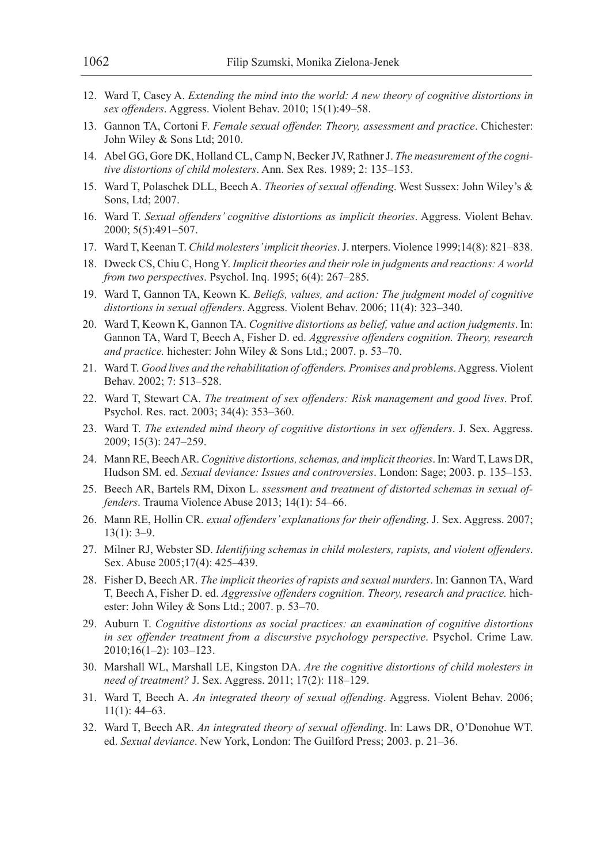- 12. Ward T, Casey A. *Extending the mind into the world: A new theory of cognitive distortions in sex offenders*. Aggress. Violent Behav. 2010; 15(1):49–58.
- 13. Gannon TA, Cortoni F. *Female sexual offender. Theory, assessment and practice*. Chichester: John Wiley & Sons Ltd; 2010.
- 14. Abel GG, Gore DK, Holland CL, Camp N, Becker JV, Rathner J. *The measurement of the cognitive distortions of child molesters*. Ann. Sex Res. 1989; 2: 135–153.
- 15. Ward T, Polaschek DLL, Beech A. *Theories of sexual offending*. West Sussex: John Wiley's & Sons, Ltd; 2007.
- 16. Ward T. *Sexual offenders' cognitive distortions as implicit theories*. Aggress. Violent Behav. 2000; 5(5):491–507.
- 17. Ward T, Keenan T. *Child molesters' implicit theories*. J. nterpers. Violence 1999;14(8): 821–838.
- 18. Dweck CS, Chiu C, Hong Y. *Implicit theories and their role in judgments and reactions: A world from two perspectives*. Psychol. Inq. 1995; 6(4): 267–285.
- 19. Ward T, Gannon TA, Keown K. *Beliefs, values, and action: The judgment model of cognitive distortions in sexual offenders*. Aggress. Violent Behav. 2006; 11(4): 323–340.
- 20. Ward T, Keown K, Gannon TA. *Cognitive distortions as belief, value and action judgments*. In: Gannon TA, Ward T, Beech A, Fisher D. ed. *Aggressive offenders cognition. Theory, research and practice.* hichester: John Wiley & Sons Ltd.; 2007. p. 53–70.
- 21. Ward T. *Good lives and the rehabilitation of offenders. Promises and problems*. Aggress. Violent Behav. 2002; 7: 513–528.
- 22. Ward T, Stewart CA. *The treatment of sex offenders: Risk management and good lives*. Prof. Psychol. Res. ract. 2003; 34(4): 353–360.
- 23. Ward T. *The extended mind theory of cognitive distortions in sex offenders*. J. Sex. Aggress. 2009; 15(3): 247–259.
- 24. Mann RE, Beech AR. *Cognitive distortions, schemas, and implicit theories*. In: Ward T, Laws DR, Hudson SM. ed. *Sexual deviance: Issues and controversies*. London: Sage; 2003. p. 135–153.
- 25. Beech AR, Bartels RM, Dixon L. *ssessment and treatment of distorted schemas in sexual offenders*. Trauma Violence Abuse 2013; 14(1): 54–66.
- 26. Mann RE, Hollin CR. *exual offenders' explanations for their offending*. J. Sex. Aggress. 2007;  $13(1): 3-9.$
- 27. Milner RJ, Webster SD. *Identifying schemas in child molesters, rapists, and violent offenders*. Sex. Abuse 2005;17(4): 425–439.
- 28. Fisher D, Beech AR. *The implicit theories of rapists and sexual murders*. In: Gannon TA, Ward T, Beech A, Fisher D. ed. *Aggressive offenders cognition. Theory, research and practice.* hichester: John Wiley & Sons Ltd.; 2007. p. 53–70.
- 29. Auburn T. *Cognitive distortions as social practices: an examination of cognitive distortions in sex offender treatment from a discursive psychology perspective*. Psychol. Crime Law. 2010;16(1–2): 103–123.
- 30. Marshall WL, Marshall LE, Kingston DA. *Are the cognitive distortions of child molesters in need of treatment?* J. Sex. Aggress. 2011; 17(2): 118–129.
- 31. Ward T, Beech A. *An integrated theory of sexual offending*. Aggress. Violent Behav. 2006;  $11(1): 44-63.$
- 32. Ward T, Beech AR. *An integrated theory of sexual offending*. In: Laws DR, O'Donohue WT. ed. *Sexual deviance*. New York, London: The Guilford Press; 2003. p. 21–36.